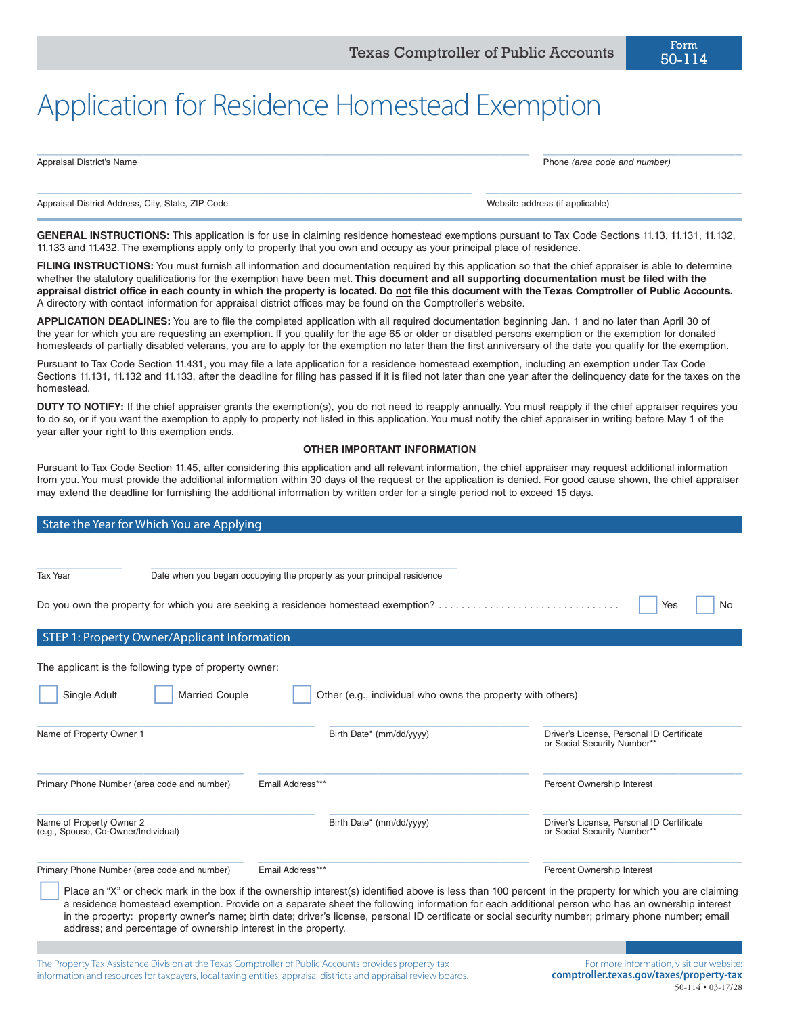| Appraisal District's Name | Phone (area code and number) |  |
|---------------------------|------------------------------|--|
|                           |                              |  |
|                           |                              |  |

Appraisal District Address, City, State, ZIP Code Website address (if applicable)

50-114

**GENERAL INSTRUCTIONS:** This application is for use in claiming residence homestead exemptions pursuant to Tax Code Sections 11.13, 11.131, 11.132, 11.133 and 11.432. The exemptions apply only to property that you own and occupy as your principal place of residence.

FILING INSTRUCTIONS: You must furnish all information and documentation required by this application so that the chief appraiser is able to determine whether the statutory qualifications for the exemption have been met. **This document and all supporting documentation must be filed with the appraisal district office in each county in which the property is located. Do not file this document with the Texas Comptroller of Public Accounts.** A directory with contact information for appraisal district offices may be found on the Comptroller's website.

**APPLICATION DEADLINES:** You are to file the completed application with all required documentation beginning Jan. 1 and no later than April 30 of the year for which you are requesting an exemption. If you qualify for the age 65 or older or disabled persons exemption or the exemption for donated homesteads of partially disabled veterans, you are to apply for the exemption no later than the first anniversary of the date you qualify for the exemption.

Pursuant to Tax Code Section 11.431, you may file a late application for a residence homestead exemption, including an exemption under Tax Code Sections 11.131, 11.132 and 11.133, after the deadline for filing has passed if it is filed not later than one year after the delinquency date for the taxes on the homestead.

**DUTY TO NOTIFY:** If the chief appraiser grants the exemption(s), you do not need to reapply annually. You must reapply if the chief appraiser requires you to do so, or if you want the exemption to apply to property not listed in this application. You must notify the chief appraiser in writing before May 1 of the year after your right to this exemption ends.

# **OTHER IMPORTANT INFORMATION**

Pursuant to Tax Code Section 11.45, after considering this application and all relevant information, the chief appraiser may request additional information from you. You must provide the additional information within 30 days of the request or the application is denied. For good cause shown, the chief appraiser may extend the deadline for furnishing the additional information by written order for a single period not to exceed 15 days.

| State the Year for Which You are Applying                                                                                                                                                                                                                                                                                                                                                                                                                                                                                            |                                                                                    |                                                                          |  |  |
|--------------------------------------------------------------------------------------------------------------------------------------------------------------------------------------------------------------------------------------------------------------------------------------------------------------------------------------------------------------------------------------------------------------------------------------------------------------------------------------------------------------------------------------|------------------------------------------------------------------------------------|--------------------------------------------------------------------------|--|--|
|                                                                                                                                                                                                                                                                                                                                                                                                                                                                                                                                      |                                                                                    |                                                                          |  |  |
| <b>Tax Year</b>                                                                                                                                                                                                                                                                                                                                                                                                                                                                                                                      | Date when you began occupying the property as your principal residence             |                                                                          |  |  |
|                                                                                                                                                                                                                                                                                                                                                                                                                                                                                                                                      | Do you own the property for which you are seeking a residence homestead exemption? | Yes<br>No                                                                |  |  |
| STEP 1: Property Owner/Applicant Information                                                                                                                                                                                                                                                                                                                                                                                                                                                                                         |                                                                                    |                                                                          |  |  |
| The applicant is the following type of property owner:<br>Single Adult<br><b>Married Couple</b><br>Other (e.g., individual who owns the property with others)                                                                                                                                                                                                                                                                                                                                                                        |                                                                                    |                                                                          |  |  |
| Name of Property Owner 1                                                                                                                                                                                                                                                                                                                                                                                                                                                                                                             | Birth Date* (mm/dd/yyyy)                                                           | Driver's License. Personal ID Certificate<br>or Social Security Number** |  |  |
| Email Address***<br>Primary Phone Number (area code and number)                                                                                                                                                                                                                                                                                                                                                                                                                                                                      |                                                                                    | Percent Ownership Interest                                               |  |  |
| Name of Property Owner 2<br>(e.g., Spouse, Co-Owner/Individual)                                                                                                                                                                                                                                                                                                                                                                                                                                                                      | Birth Date* (mm/dd/yyyy)                                                           | Driver's License. Personal ID Certificate<br>or Social Security Number** |  |  |
| Primary Phone Number (area code and number)                                                                                                                                                                                                                                                                                                                                                                                                                                                                                          | Email Address***                                                                   | Percent Ownership Interest                                               |  |  |
| Place an "X" or check mark in the box if the ownership interest(s) identified above is less than 100 percent in the property for which you are claiming<br>a residence homestead exemption. Provide on a separate sheet the following information for each additional person who has an ownership interest<br>in the property: property owner's name; birth date; driver's license, personal ID certificate or social security number; primary phone number; email<br>address; and percentage of ownership interest in the property. |                                                                                    |                                                                          |  |  |

The Property Tax Assistance Division at the Texas Comptroller of Public Accounts provides property tax information and resources for taxpayers, local taxing entities, appraisal districts and appraisal review boards.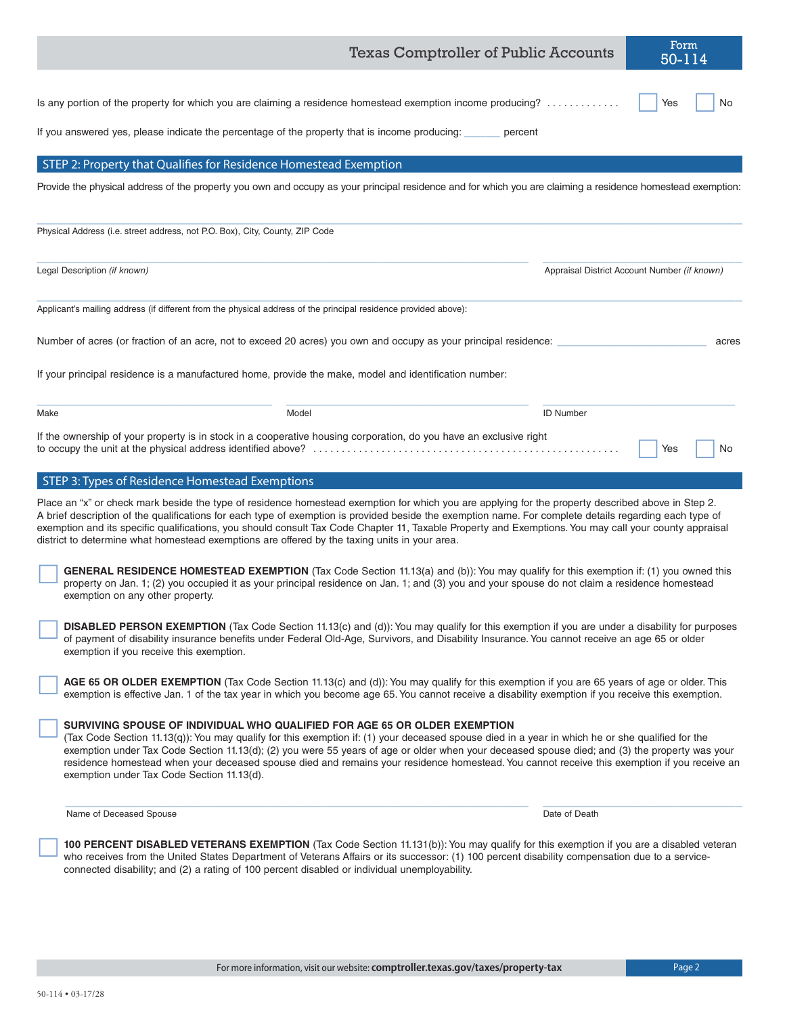|      |                                                                                                                 | <b>Texas Comptroller of Public Accounts</b>                                                                                                                                                                                                                                                                                                                                                                                                                                                                                      |                                              | Form<br>50-114 |       |
|------|-----------------------------------------------------------------------------------------------------------------|----------------------------------------------------------------------------------------------------------------------------------------------------------------------------------------------------------------------------------------------------------------------------------------------------------------------------------------------------------------------------------------------------------------------------------------------------------------------------------------------------------------------------------|----------------------------------------------|----------------|-------|
|      | If you answered yes, please indicate the percentage of the property that is income producing:                   | Is any portion of the property for which you are claiming a residence homestead exemption income producing?<br>percent                                                                                                                                                                                                                                                                                                                                                                                                           |                                              | Yes            | No    |
|      |                                                                                                                 |                                                                                                                                                                                                                                                                                                                                                                                                                                                                                                                                  |                                              |                |       |
|      | STEP 2: Property that Qualifies for Residence Homestead Exemption                                               | Provide the physical address of the property you own and occupy as your principal residence and for which you are claiming a residence homestead exemption:                                                                                                                                                                                                                                                                                                                                                                      |                                              |                |       |
|      |                                                                                                                 |                                                                                                                                                                                                                                                                                                                                                                                                                                                                                                                                  |                                              |                |       |
|      | Physical Address (i.e. street address, not P.O. Box), City, County, ZIP Code                                    |                                                                                                                                                                                                                                                                                                                                                                                                                                                                                                                                  |                                              |                |       |
|      | Legal Description (if known)                                                                                    |                                                                                                                                                                                                                                                                                                                                                                                                                                                                                                                                  | Appraisal District Account Number (if known) |                |       |
|      | Applicant's mailing address (if different from the physical address of the principal residence provided above): |                                                                                                                                                                                                                                                                                                                                                                                                                                                                                                                                  |                                              |                |       |
|      |                                                                                                                 | Number of acres (or fraction of an acre, not to exceed 20 acres) you own and occupy as your principal residence:                                                                                                                                                                                                                                                                                                                                                                                                                 |                                              |                | acres |
|      |                                                                                                                 | If your principal residence is a manufactured home, provide the make, model and identification number:                                                                                                                                                                                                                                                                                                                                                                                                                           |                                              |                |       |
| Make |                                                                                                                 | Model                                                                                                                                                                                                                                                                                                                                                                                                                                                                                                                            | <b>ID Number</b>                             |                |       |
|      |                                                                                                                 | If the ownership of your property is in stock in a cooperative housing corporation, do you have an exclusive right                                                                                                                                                                                                                                                                                                                                                                                                               |                                              | Yes            | No    |
|      | STEP 3: Types of Residence Homestead Exemptions                                                                 |                                                                                                                                                                                                                                                                                                                                                                                                                                                                                                                                  |                                              |                |       |
|      | district to determine what homestead exemptions are offered by the taxing units in your area.                   | Place an "x" or check mark beside the type of residence homestead exemption for which you are applying for the property described above in Step 2.<br>A brief description of the qualifications for each type of exemption is provided beside the exemption name. For complete details regarding each type of<br>exemption and its specific qualifications, you should consult Tax Code Chapter 11, Taxable Property and Exemptions. You may call your county appraisal                                                          |                                              |                |       |
|      | exemption on any other property.                                                                                | GENERAL RESIDENCE HOMESTEAD EXEMPTION (Tax Code Section 11.13(a) and (b)): You may qualify for this exemption if: (1) you owned this<br>property on Jan. 1; (2) you occupied it as your principal residence on Jan. 1; and (3) you and your spouse do not claim a residence homestead                                                                                                                                                                                                                                            |                                              |                |       |
|      | exemption if you receive this exemption.                                                                        | DISABLED PERSON EXEMPTION (Tax Code Section 11.13(c) and (d)): You may qualify for this exemption if you are under a disability for purposes<br>of payment of disability insurance benefits under Federal Old-Age, Survivors, and Disability Insurance. You cannot receive an age 65 or older                                                                                                                                                                                                                                    |                                              |                |       |
|      |                                                                                                                 | AGE 65 OR OLDER EXEMPTION (Tax Code Section 11.13(c) and (d)): You may qualify for this exemption if you are 65 years of age or older. This<br>exemption is effective Jan. 1 of the tax year in which you become age 65. You cannot receive a disability exemption if you receive this exemption.                                                                                                                                                                                                                                |                                              |                |       |
|      | exemption under Tax Code Section 11.13(d).                                                                      | SURVIVING SPOUSE OF INDIVIDUAL WHO QUALIFIED FOR AGE 65 OR OLDER EXEMPTION<br>(Tax Code Section 11.13(q)): You may qualify for this exemption if: (1) your deceased spouse died in a year in which he or she qualified for the<br>exemption under Tax Code Section 11.13(d); (2) you were 55 years of age or older when your deceased spouse died; and (3) the property was your<br>residence homestead when your deceased spouse died and remains your residence homestead. You cannot receive this exemption if you receive an |                                              |                |       |
|      | Name of Deceased Spouse                                                                                         |                                                                                                                                                                                                                                                                                                                                                                                                                                                                                                                                  | Date of Death                                |                |       |
|      | connected disability; and (2) a rating of 100 percent disabled or individual unemployability.                   | 100 PERCENT DISABLED VETERANS EXEMPTION (Tax Code Section 11.131(b)): You may qualify for this exemption if you are a disabled veteran<br>who receives from the United States Department of Veterans Affairs or its successor: (1) 100 percent disability compensation due to a service-                                                                                                                                                                                                                                         |                                              |                |       |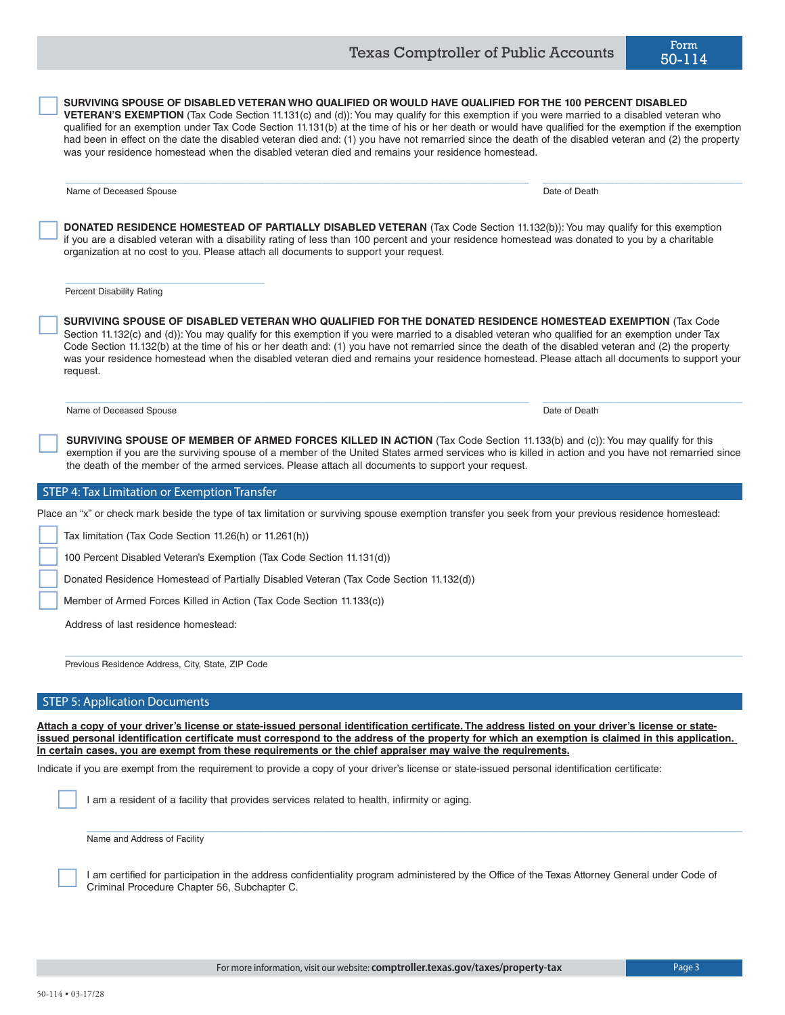

**SURVIVING SPOUSE OF DISABLED VETERAN WHO QUALIFIED FOR THE DONATED RESIDENCE HOMESTEAD EXEMPTION** (Tax Code Section 11.132(c) and (d)): You may qualify for this exemption if you were married to a disabled veteran who qualified for an exemption under Tax Code Section 11.132(b) at the time of his or her death and: (1) you have not remarried since the death of the disabled veteran and (2) the property was your residence homestead when the disabled veteran died and remains your residence homestead. Please attach all documents to support your request.  $\Box$ 

**SURVIVING SPOUSE OF DISABLED VETERAN WHO QUALIFIED OR WOULD HAVE QUALIFIED FOR THE 100 PERCENT DISABLED**<br>**VETERAN'S EXEMPTION** (Tax Code Section 11.131(c) and (d)): You may qualify for this exemption if you were married t

 $\_$  ,  $\_$  ,  $\_$  ,  $\_$  ,  $\_$  ,  $\_$  ,  $\_$  ,  $\_$  ,  $\_$  ,  $\_$  ,  $\_$  ,  $\_$  ,  $\_$  ,  $\_$  ,  $\_$  ,  $\_$  ,  $\_$  ,  $\_$  ,  $\_$  ,  $\_$  ,  $\_$  ,  $\_$  ,  $\_$  ,  $\_$  ,  $\_$  ,  $\_$  ,  $\_$  ,  $\_$  ,  $\_$  ,  $\_$  ,  $\_$  ,  $\_$  ,  $\_$  ,  $\_$  ,  $\_$  ,  $\_$  ,  $\_$  ,

qualified for an exemption under Tax Code Section 11.131(b) at the time of his or her death or would have qualified for the exemption if the exemption had been in effect on the date the disabled veteran died and: (1) you have not remarried since the death of the disabled veteran and (2) the property

**DONATED RESIDENCE HOMESTEAD OF PARTIALLY DISABLED VETERAN** (Tax Code Section 11.132(b)): You may qualify for this exemption if you are a disabled veteran with a disability rating of less than 100 percent and your residence homestead was donated to you by a charitable

Name of Deceased Spouse Date of Death Control of Death Control of Death Control of Death Date of Death Control of Death Control of Death Control of Death Control of Death Control of Death Control of Death Control of Death

Percent Disability Rating

 $\Box$ 

 $\Box$ 

**SURVIVING SPOUSE OF MEMBER OF ARMED FORCES KILLED IN ACTION** (Tax Code Section 11.133(b) and (c)): You may qualify for this exemption if you are the surviving spouse of a member of the United States armed services who is killed in action and you have not remarried since the death of the member of the armed services. Please attach all documents to support your request.

# **STEP 4: Tax Limitation or Exemption Transfer**

\_\_\_\_\_\_\_\_\_\_\_\_\_\_\_\_\_\_\_\_\_\_\_\_\_\_\_\_

Place an "x" or check mark beside the type of tax limitation or surviving spouse exemption transfer you seek from your previous residence homestead:

Tax limitation (Tax Code Section 11.26(h) or 11.261(h))

100 Percent Disabled Veteran's Exemption (Tax Code Section 11.131(d))

Donated Residence Homestead of Partially Disabled Veteran (Tax Code Section 11.132(d))

organization at no cost to you. Please attach all documents to support your request.

was your residence homestead when the disabled veteran died and remains your residence homestead.

Member of Armed Forces Killed in Action (Tax Code Section 11.133(c))

Address of last residence homestead:

Previous Residence Address, City, State, ZIP Code

# STEP 5: Application Documents

**Attach a copy of your driver's license or state-issued personal identification certificate. The address listed on your driver's license or stateissued personal identification certificate must correspond to the address of the property for which an exemption is claimed in this application. In certain cases, you are exempt from these requirements or the chief appraiser may waive the requirements.**

 $\_$  ,  $\_$  ,  $\_$  ,  $\_$  ,  $\_$  ,  $\_$  ,  $\_$  ,  $\_$  ,  $\_$  ,  $\_$  ,  $\_$  ,  $\_$  ,  $\_$  ,  $\_$  ,  $\_$  ,  $\_$  ,  $\_$  ,  $\_$  ,  $\_$  ,  $\_$  ,  $\_$  ,  $\_$  ,  $\_$  ,  $\_$  ,  $\_$  ,  $\_$  ,  $\_$  ,  $\_$  ,  $\_$  ,  $\_$  ,  $\_$  ,  $\_$  ,  $\_$  ,  $\_$  ,  $\_$  ,  $\_$  ,  $\_$  ,

Indicate if you are exempt from the requirement to provide a copy of your driver's license or state-issued personal identification certificate:

I am a resident of a facility that provides services related to health, infirmity or aging.

Name and Address of Facility

 I am certified for participation in the address confidentiality program administered by the Office of the Texas Attorney General under Code of Criminal Procedure Chapter 56, Subchapter C.

 $\_$  ,  $\_$  ,  $\_$  ,  $\_$  ,  $\_$  ,  $\_$  ,  $\_$  ,  $\_$  ,  $\_$  ,  $\_$  ,  $\_$  ,  $\_$  ,  $\_$  ,  $\_$  ,  $\_$  ,  $\_$  ,  $\_$  ,  $\_$  ,  $\_$  ,  $\_$  ,  $\_$  ,  $\_$  ,  $\_$  ,  $\_$  ,  $\_$  ,  $\_$  ,  $\_$  ,  $\_$  ,  $\_$  ,  $\_$  ,  $\_$  ,  $\_$  ,  $\_$  ,  $\_$  ,  $\_$  ,  $\_$  ,  $\_$  ,



Name of Deceased Spouse **Date of Death** Name of Death Date of Death Date of Death Date of Death Date of Death Date of Death Date of Death Date of Death Date of Death Date of Death Date of Death Date of Death Date of Death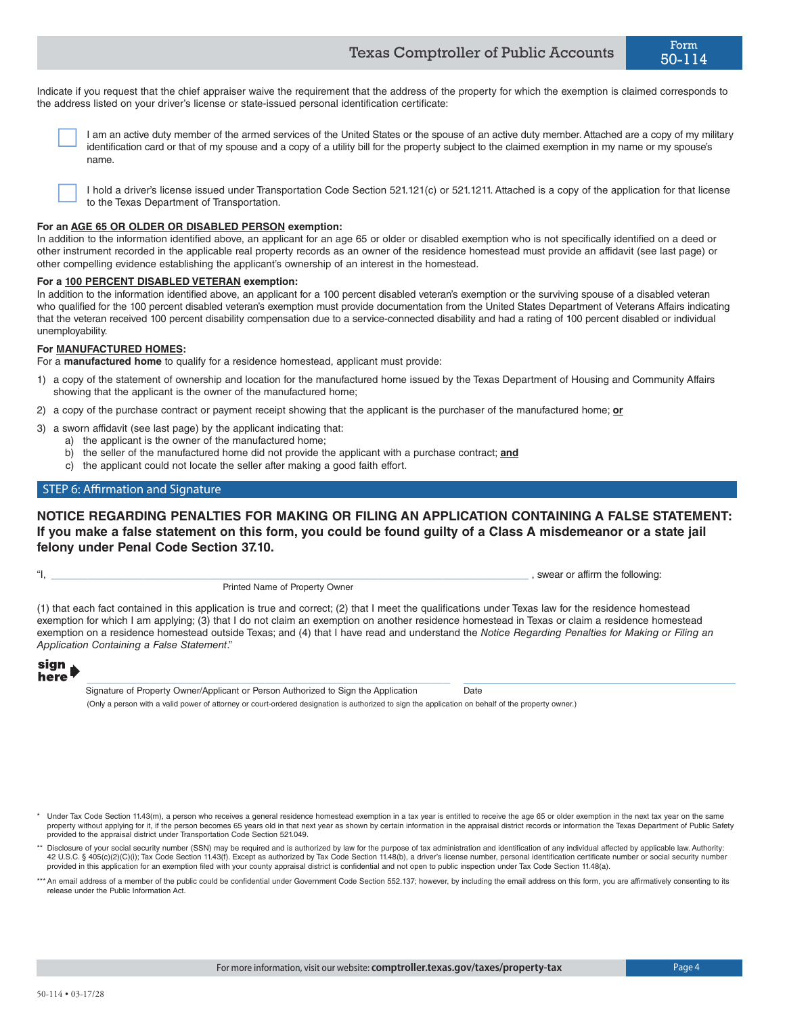Indicate if you request that the chief appraiser waive the requirement that the address of the property for which the exemption is claimed corresponds to the address listed on your driver's license or state-issued personal identification certificate:

 I am an active duty member of the armed services of the United States or the spouse of an active duty member. Attached are a copy of my military identification card or that of my spouse and a copy of a utility bill for the property subject to the claimed exemption in my name or my spouse's name.

 I hold a driver's license issued under Transportation Code Section 521.121(c) or 521.1211. Attached is a copy of the application for that license to the Texas Department of Transportation.

## **For an AGE 65 OR OLDER OR DISABLED PERSON exemption:**

In addition to the information identified above, an applicant for an age 65 or older or disabled exemption who is not specifically identified on a deed or other instrument recorded in the applicable real property records as an owner of the residence homestead must provide an affidavit (see last page) or other compelling evidence establishing the applicant's ownership of an interest in the homestead.

# **For a 100 PERCENT DISABLED VETERAN exemption:**

In addition to the information identified above, an applicant for a 100 percent disabled veteran's exemption or the surviving spouse of a disabled veteran who qualified for the 100 percent disabled veteran's exemption must provide documentation from the United States Department of Veterans Affairs indicating that the veteran received 100 percent disability compensation due to a service-connected disability and had a rating of 100 percent disabled or individual unemployability.

#### **For MANUFACTURED HOMES:**

For a **manufactured home** to qualify for a residence homestead, applicant must provide:

- 1) a copy of the statement of ownership and location for the manufactured home issued by the Texas Department of Housing and Community Affairs showing that the applicant is the owner of the manufactured home;
- 2) a copy of the purchase contract or payment receipt showing that the applicant is the purchaser of the manufactured home; **or**
- 3) a sworn affidavit (see last page) by the applicant indicating that:
	- a) the applicant is the owner of the manufactured home;
	- b) the seller of the manufactured home did not provide the applicant with a purchase contract; **and**
	- c) the applicant could not locate the seller after making a good faith effort.

# STEP 6: Affirmation and Signature

# **NOTICE REGARDING PENALTIES FOR MAKING OR FILING AN APPLICATION CONTAINING A FALSE STATEMENT: If you make a false statement on this form, you could be found guilty of a Class A misdemeanor or a state jail felony under Penal Code Section 37.10.**

\_\_\_\_\_\_\_\_\_\_\_\_\_\_\_\_\_\_\_\_\_\_\_\_\_\_\_\_\_\_\_\_\_\_\_\_\_\_\_\_\_\_\_\_\_\_\_\_\_\_\_\_\_\_\_\_\_\_\_\_\_\_\_\_\_\_\_ ,

|  |  |  | Printed Name of Property Owner |  |
|--|--|--|--------------------------------|--|
|--|--|--|--------------------------------|--|

"I, swear or affirm the following:

(1) that each fact contained in this application is true and correct; (2) that I meet the qualifications under Texas law for the residence homestead exemption for which I am applying; (3) that I do not claim an exemption on another residence homestead in Texas or claim a residence homestead exemption on a residence homestead outside Texas; and (4) that I have read and understand the *Notice Regarding Penalties for Making or Filing an Application Containing a False Statement*."

# sign<br>here

Signature of Property Owner/Applicant or Person Authorized to Sign the Application Date (Only a person with a valid power of attorney or court-ordered designation is authorized to sign the application on behalf of the property owner.)

Under Tax Code Section 11.43(m), a person who receives a general residence homestead exemption in a tax year is entitled to receive the age 65 or older exemption in the next tax year on the same property without applying for it, if the person becomes 65 years old in that next year as shown by certain information in the appraisal district records or information the Texas Department of Public Safety provided to the appraisal district under Transportation Code Section 521.049.

- \*\* Disclosure of your social security number (SSN) may be required and is authorized by law for the purpose of tax administration and identification of any individual affected by applicable law. Authority: 42 U.S.C. § 405(c)(2)(C)(i); Tax Code Section 11.43(f). Except as authorized by Tax Code Section 11.48(b), a driver's license number, personal identification certificate number or social security number provided in this application for an exemption filed with your county appraisal district is confidential and not open to public inspection under Tax Code Section 11.48(a).
- \*\*\* An email address of a member of the public could be confidential under Government Code Section 552.137; however, by including the email address on this form, you are affirmatively consenting to its release under the Public Information Act.